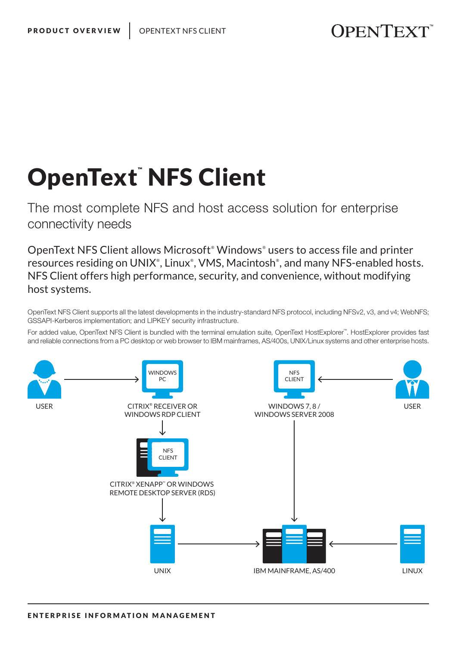## OpenText™NFS Client

The most complete NFS and host access solution for enterprise connectivity needs

OpenText NFS Client allows Microsoft*®* Windows*®* users to access file and printer resources residing on UNIX<sup>®</sup>, Linux<sup>®</sup>, VMS, Macintosh<sup>®</sup>, and many NFS-enabled hosts. NFS Client offers high performance, security, and convenience, without modifying host systems.

OpenText NFS Client supports all the latest developments in the industry-standard NFS protocol, including NFSv2, v3, and v4; WebNFS; GSSAPI-Kerberos implementation; and LIPKEY security infrastructure.

For added value, OpenText NFS Client is bundled with the terminal emulation suite, OpenText HostExplorer™. HostExplorer provides fast and reliable connections from a PC desktop or web browser to IBM mainframes, AS/400s, UNIX/Linux systems and other enterprise hosts.